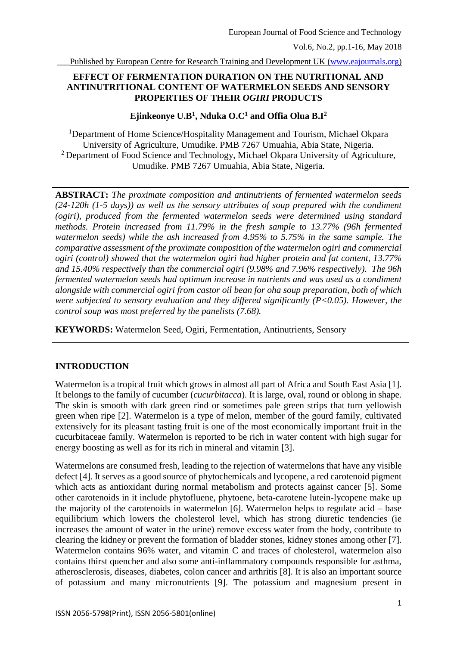## **EFFECT OF FERMENTATION DURATION ON THE NUTRITIONAL AND ANTINUTRITIONAL CONTENT OF WATERMELON SEEDS AND SENSORY PROPERTIES OF THEIR** *OGIRI* **PRODUCTS**

## **Ejinkeonye U.B<sup>1</sup> , Nduka O.C<sup>1</sup> and Offia Olua B.I<sup>2</sup>**

<sup>1</sup>Department of Home Science/Hospitality Management and Tourism, Michael Okpara University of Agriculture, Umudike. PMB 7267 Umuahia, Abia State, Nigeria. <sup>2</sup> Department of Food Science and Technology, Michael Okpara University of Agriculture, Umudike. PMB 7267 Umuahia, Abia State, Nigeria.

**ABSTRACT:** *The proximate composition and antinutrients of fermented watermelon seeds (24-120h (1-5 days)) as well as the sensory attributes of soup prepared with the condiment (ogiri), produced from the fermented watermelon seeds were determined using standard methods. Protein increased from 11.79% in the fresh sample to 13.77% (96h fermented watermelon seeds) while the ash increased from 4.95% to 5.75% in the same sample. The comparative assessment of the proximate composition of the watermelon ogiri and commercial ogiri (control) showed that the watermelon ogiri had higher protein and fat content, 13.77% and 15.40% respectively than the commercial ogiri (9.98% and 7.96% respectively). The 96h fermented watermelon seeds had optimum increase in nutrients and was used as a condiment alongside with commercial ogiri from castor oil bean for oha soup preparation, both of which were subjected to sensory evaluation and they differed significantly (P<0.05). However, the control soup was most preferred by the panelists (7.68).* 

**KEYWORDS:** Watermelon Seed, Ogiri, Fermentation, Antinutrients, Sensory

#### **INTRODUCTION**

Watermelon is a tropical fruit which grows in almost all part of Africa and South East Asia [1]. It belongs to the family of cucumber (*cucurbitacca*). It is large, oval, round or oblong in shape. The skin is smooth with dark green rind or sometimes pale green strips that turn yellowish green when ripe [2]. Watermelon is a type of melon, member of the gourd family, cultivated extensively for its pleasant tasting fruit is one of the most economically important fruit in the cucurbitaceae family. Watermelon is reported to be rich in water content with high sugar for energy boosting as well as for its rich in mineral and vitamin [3].

Watermelons are consumed fresh, leading to the rejection of watermelons that have any visible defect [4]. It serves as a good source of phytochemicals and lycopene, a red carotenoid pigment which acts as antioxidant during normal metabolism and protects against cancer [5]. Some other carotenoids in it include phytofluene, phytoene, beta-carotene lutein-lycopene make up the majority of the carotenoids in watermelon [6]. Watermelon helps to regulate acid – base equilibrium which lowers the cholesterol level, which has strong diuretic tendencies (ie increases the amount of water in the urine) remove excess water from the body, contribute to clearing the kidney or prevent the formation of bladder stones, kidney stones among other [7]. Watermelon contains 96% water, and vitamin C and traces of cholesterol, watermelon also contains thirst quencher and also some anti-inflammatory compounds responsible for asthma, atherosclerosis, diseases, diabetes, colon cancer and arthritis [8]. It is also an important source of potassium and many micronutrients [9]. The potassium and magnesium present in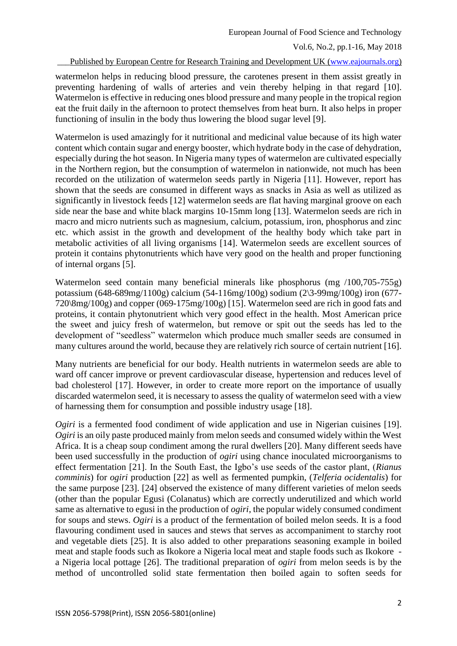watermelon helps in reducing blood pressure, the carotenes present in them assist greatly in preventing hardening of walls of arteries and vein thereby helping in that regard [10]. Watermelon is effective in reducing ones blood pressure and many people in the tropical region eat the fruit daily in the afternoon to protect themselves from heat burn. It also helps in proper functioning of insulin in the body thus lowering the blood sugar level [9].

Watermelon is used amazingly for it nutritional and medicinal value because of its high water content which contain sugar and energy booster, which hydrate body in the case of dehydration, especially during the hot season. In Nigeria many types of watermelon are cultivated especially in the Northern region, but the consumption of watermelon in nationwide, not much has been recorded on the utilization of watermelon seeds partly in Nigeria [11]. However, report has shown that the seeds are consumed in different ways as snacks in Asia as well as utilized as significantly in livestock feeds [12] watermelon seeds are flat having marginal groove on each side near the base and white black margins 10-15mm long [13]. Watermelon seeds are rich in macro and micro nutrients such as magnesium, calcium, potassium, iron, phosphorus and zinc etc. which assist in the growth and development of the healthy body which take part in metabolic activities of all living organisms [14]. Watermelon seeds are excellent sources of protein it contains phytonutrients which have very good on the health and proper functioning of internal organs [5].

Watermelon seed contain many beneficial minerals like phosphorus (mg /100,705-755g) potassium (648-689mg/1100g) calcium (54-116mg/100g) sodium (2\3-99mg/100g) iron (677- 720\8mg/100g) and copper (069-175mg/100g) [15]. Watermelon seed are rich in good fats and proteins, it contain phytonutrient which very good effect in the health. Most American price the sweet and juicy fresh of watermelon, but remove or spit out the seeds has led to the development of "seedless" watermelon which produce much smaller seeds are consumed in many cultures around the world, because they are relatively rich source of certain nutrient [16].

Many nutrients are beneficial for our body. Health nutrients in watermelon seeds are able to ward off cancer improve or prevent cardiovascular disease, hypertension and reduces level of bad cholesterol [17]. However, in order to create more report on the importance of usually discarded watermelon seed, it is necessary to assess the quality of watermelon seed with a view of harnessing them for consumption and possible industry usage [18].

*Ogiri* is a fermented food condiment of wide application and use in Nigerian cuisines [19]. *Ogiri* is an oily paste produced mainly from melon seeds and consumed widely within the West Africa. It is a cheap soup condiment among the rural dwellers [20]. Many different seeds have been used successfully in the production of *ogiri* using chance inoculated microorganisms to effect fermentation [21]. In the South East, the Igbo's use seeds of the castor plant, (*Rianus comminis*) for *ogiri* production [22] as well as fermented pumpkin, (*Telferia ocidentalis*) for the same purpose [23]. [24] observed the existence of many different varieties of melon seeds (other than the popular Egusi (Colanatus) which are correctly underutilized and which world same as alternative to egusi in the production of *ogiri*, the popular widely consumed condiment for soups and stews. *Ogiri* is a product of the fermentation of boiled melon seeds. It is a food flavouring condiment used in sauces and stews that serves as accompaniment to starchy root and vegetable diets [25]. It is also added to other preparations seasoning example in boiled meat and staple foods such as Ikokore a Nigeria local meat and staple foods such as Ikokore a Nigeria local pottage [26]. The traditional preparation of *ogiri* from melon seeds is by the method of uncontrolled solid state fermentation then boiled again to soften seeds for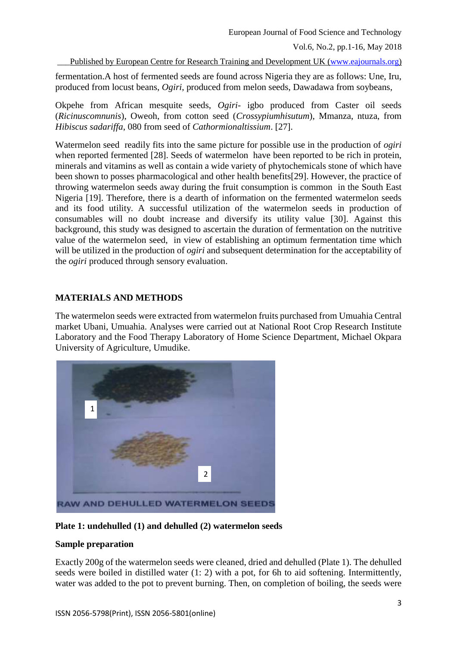fermentation.A host of fermented seeds are found across Nigeria they are as follows: Une, Iru, produced from locust beans, *Ogiri*, produced from melon seeds, Dawadawa from soybeans,

Okpehe from African mesquite seeds, *Ogiri*- igbo produced from Caster oil seeds (*Ricinuscomnunis*), Oweoh, from cotton seed (*Crossypiumhisutum*), Mmanza, ntuza, from *Hibiscus sadariffa*, 080 from seed of *Cathormionaltissium*. [27].

Watermelon seed readily fits into the same picture for possible use in the production of *ogiri* when reported fermented [28]. Seeds of watermelon have been reported to be rich in protein, minerals and vitamins as well as contain a wide variety of phytochemicals stone of which have been shown to posses pharmacological and other health benefits[29]. However, the practice of throwing watermelon seeds away during the fruit consumption is common in the South East Nigeria [19]. Therefore, there is a dearth of information on the fermented watermelon seeds and its food utility. A successful utilization of the watermelon seeds in production of consumables will no doubt increase and diversify its utility value [30]. Against this background, this study was designed to ascertain the duration of fermentation on the nutritive value of the watermelon seed, in view of establishing an optimum fermentation time which will be utilized in the production of *ogiri* and subsequent determination for the acceptability of the *ogiri* produced through sensory evaluation.

# **MATERIALS AND METHODS**

The watermelon seeds were extracted from watermelon fruits purchased from Umuahia Central market Ubani, Umuahia. Analyses were carried out at National Root Crop Research Institute Laboratory and the Food Therapy Laboratory of Home Science Department, Michael Okpara University of Agriculture, Umudike.



**Plate 1: undehulled (1) and dehulled (2) watermelon seeds**

## **Sample preparation**

Exactly 200g of the watermelon seeds were cleaned, dried and dehulled (Plate 1). The dehulled seeds were boiled in distilled water (1: 2) with a pot, for 6h to aid softening. Intermittently, water was added to the pot to prevent burning. Then, on completion of boiling, the seeds were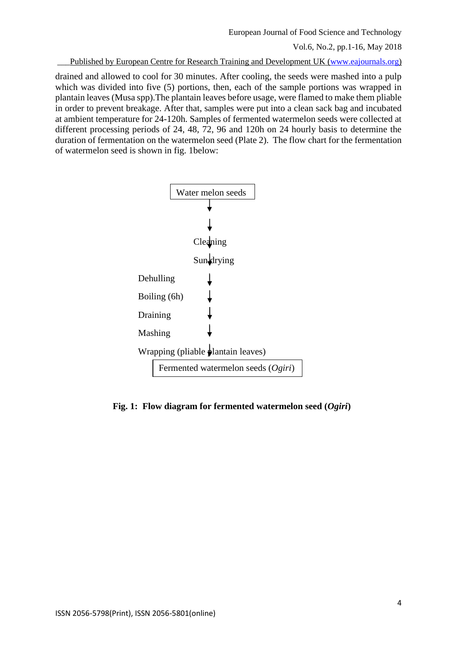European Journal of Food Science and Technology Vol.6, No.2, pp.1-16, May 2018

Published by European Centre for Research Training and Development UK [\(www.eajournals.org\)](http://www.eajournals.org/)

drained and allowed to cool for 30 minutes. After cooling, the seeds were mashed into a pulp which was divided into five (5) portions, then, each of the sample portions was wrapped in plantain leaves (Musa spp).The plantain leaves before usage, were flamed to make them pliable in order to prevent breakage. After that, samples were put into a clean sack bag and incubated at ambient temperature for 24-120h. Samples of fermented watermelon seeds were collected at different processing periods of 24, 48, 72, 96 and 120h on 24 hourly basis to determine the duration of fermentation on the watermelon seed (Plate 2). The flow chart for the fermentation of watermelon seed is shown in fig. 1below:



 **Fig. 1: Flow diagram for fermented watermelon seed (***Ogiri***)**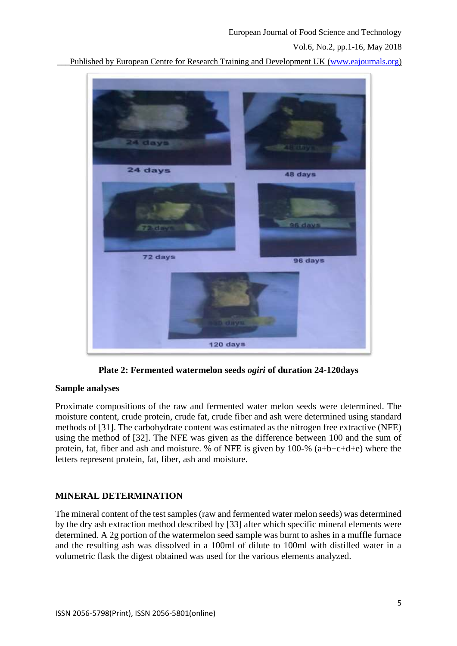Published by European Centre for Research Training and Development UK [\(www.eajournals.org\)](http://www.eajournals.org/)



**Plate 2: Fermented watermelon seeds** *ogiri* **of duration 24-120days**

#### **Sample analyses**

Proximate compositions of the raw and fermented water melon seeds were determined. The moisture content, crude protein, crude fat, crude fiber and ash were determined using standard methods of [31]. The carbohydrate content was estimated as the nitrogen free extractive (NFE) using the method of [32]. The NFE was given as the difference between 100 and the sum of protein, fat, fiber and ash and moisture. % of NFE is given by 100-% (a+b+c+d+e) where the letters represent protein, fat, fiber, ash and moisture.

## **MINERAL DETERMINATION**

The mineral content of the test samples (raw and fermented water melon seeds) was determined by the dry ash extraction method described by [33] after which specific mineral elements were determined. A 2g portion of the watermelon seed sample was burnt to ashes in a muffle furnace and the resulting ash was dissolved in a 100ml of dilute to 100ml with distilled water in a volumetric flask the digest obtained was used for the various elements analyzed.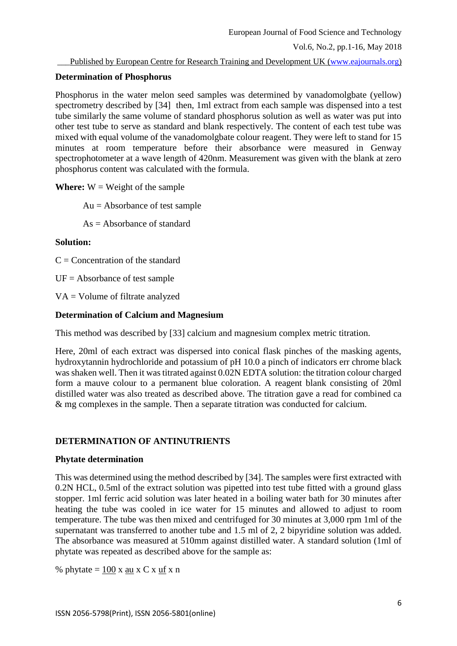### **Determination of Phosphorus**

Phosphorus in the water melon seed samples was determined by vanadomolgbate (yellow) spectrometry described by [34] then, 1ml extract from each sample was dispensed into a test tube similarly the same volume of standard phosphorus solution as well as water was put into other test tube to serve as standard and blank respectively. The content of each test tube was mixed with equal volume of the vanadomolgbate colour reagent. They were left to stand for 15 minutes at room temperature before their absorbance were measured in Genway spectrophotometer at a wave length of 420nm. Measurement was given with the blank at zero phosphorus content was calculated with the formula.

**Where:**  $W = Weight of the sample$ 

Au = Absorbance of test sample

 $As = Absorbance$  of standard

#### **Solution:**

 $C =$ Concentration of the standard

 $UF = Absorbance of test sample$ 

VA = Volume of filtrate analyzed

### **Determination of Calcium and Magnesium**

This method was described by [33] calcium and magnesium complex metric titration.

Here, 20ml of each extract was dispersed into conical flask pinches of the masking agents, hydroxytannin hydrochloride and potassium of pH 10.0 a pinch of indicators err chrome black was shaken well. Then it was titrated against 0.02N EDTA solution: the titration colour charged form a mauve colour to a permanent blue coloration. A reagent blank consisting of 20ml distilled water was also treated as described above. The titration gave a read for combined ca & mg complexes in the sample. Then a separate titration was conducted for calcium.

## **DETERMINATION OF ANTINUTRIENTS**

## **Phytate determination**

This was determined using the method described by [34]. The samples were first extracted with 0.2N HCL, 0.5ml of the extract solution was pipetted into test tube fitted with a ground glass stopper. 1ml ferric acid solution was later heated in a boiling water bath for 30 minutes after heating the tube was cooled in ice water for 15 minutes and allowed to adjust to room temperature. The tube was then mixed and centrifuged for 30 minutes at 3,000 rpm 1ml of the supernatant was transferred to another tube and 1.5 ml of 2, 2 bipyridine solution was added. The absorbance was measured at 510mm against distilled water. A standard solution (1ml of phytate was repeated as described above for the sample as:

% phytate  $= 100$  x au x C x uf x n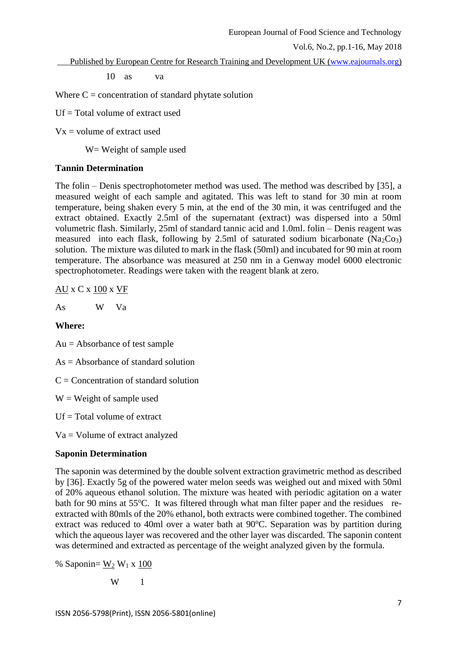\_\_\_Published by European Centre for Research Training and Development UK [\(www.eajournals.org\)](http://www.eajournals.org/)

10 as va

Where  $C =$  concentration of standard phytate solution

Uf = Total volume of extract used

 $Vx =$  volume of extract used

W= Weight of sample used

### **Tannin Determination**

The folin – Denis spectrophotometer method was used. The method was described by [35], a measured weight of each sample and agitated. This was left to stand for 30 min at room temperature, being shaken every 5 min, at the end of the 30 min, it was centrifuged and the extract obtained. Exactly 2.5ml of the supernatant (extract) was dispersed into a 50ml volumetric flash. Similarly, 25ml of standard tannic acid and 1.0ml. folin – Denis reagent was measured into each flask, following by 2.5ml of saturated sodium bicarbonate  $(Na_2Co_3)$ solution. The mixture was diluted to mark in the flask (50ml) and incubated for 90 min at room temperature. The absorbance was measured at 250 nm in a Genway model 6000 electronic spectrophotometer. Readings were taken with the reagent blank at zero.

AU x C x 100 x VF

As W Va

#### **Where:**

Au = Absorbance of test sample

 $As = Absorbance of standard solution$ 

 $C =$  Concentration of standard solution

 $W = Weight of sample used$ 

 $Uf = Total volume of extract$ 

Va = Volume of extract analyzed

## **Saponin Determination**

The saponin was determined by the double solvent extraction gravimetric method as described by [36]. Exactly 5g of the powered water melon seeds was weighed out and mixed with 50ml of 20% aqueous ethanol solution. The mixture was heated with periodic agitation on a water bath for 90 mins at 55°C. It was filtered through what man filter paper and the residues reextracted with 80mls of the 20% ethanol, both extracts were combined together. The combined extract was reduced to 40ml over a water bath at  $90^{\circ}$ C. Separation was by partition during which the aqueous layer was recovered and the other layer was discarded. The saponin content was determined and extracted as percentage of the weight analyzed given by the formula.

% Saponin=  $W_2 W_1 x 100$ 

W 1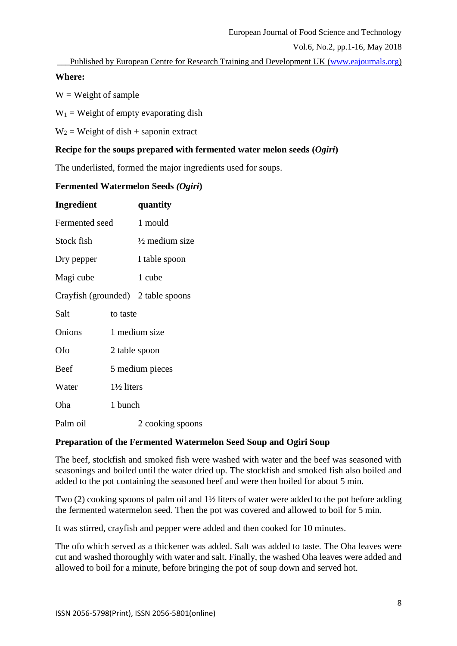Published by European Centre for Research Training and Development UK [\(www.eajournals.org\)](http://www.eajournals.org/)

### **Where:**

 $W = Weight of sample$ 

 $W_1$  = Weight of empty evaporating dish

 $W_2$  = Weight of dish + saponin extract

# **Recipe for the soups prepared with fermented water melon seeds (***Ogiri***)**

The underlisted, formed the major ingredients used for soups.

### **Fermented Watermelon Seeds** *(Ogiri***)**

| <b>Ingredient</b>                  |                       | quantity                  |  |  |
|------------------------------------|-----------------------|---------------------------|--|--|
| Fermented seed                     |                       | 1 mould                   |  |  |
| Stock fish                         |                       | $\frac{1}{2}$ medium size |  |  |
| Dry pepper                         |                       | I table spoon             |  |  |
| Magi cube                          |                       | 1 cube                    |  |  |
| Crayfish (grounded) 2 table spoons |                       |                           |  |  |
| Salt                               | to taste              |                           |  |  |
| Onions                             | 1 medium size         |                           |  |  |
| Ofo                                | 2 table spoon         |                           |  |  |
| Beef                               | 5 medium pieces       |                           |  |  |
| Water                              | $1\frac{1}{2}$ liters |                           |  |  |
| Oha                                | 1 bunch               |                           |  |  |
| Palm oil                           |                       | 2 cooking spoons          |  |  |

## **Preparation of the Fermented Watermelon Seed Soup and Ogiri Soup**

The beef, stockfish and smoked fish were washed with water and the beef was seasoned with seasonings and boiled until the water dried up. The stockfish and smoked fish also boiled and added to the pot containing the seasoned beef and were then boiled for about 5 min.

Two (2) cooking spoons of palm oil and 1½ liters of water were added to the pot before adding the fermented watermelon seed. Then the pot was covered and allowed to boil for 5 min.

It was stirred, crayfish and pepper were added and then cooked for 10 minutes.

The ofo which served as a thickener was added. Salt was added to taste. The Oha leaves were cut and washed thoroughly with water and salt. Finally, the washed Oha leaves were added and allowed to boil for a minute, before bringing the pot of soup down and served hot.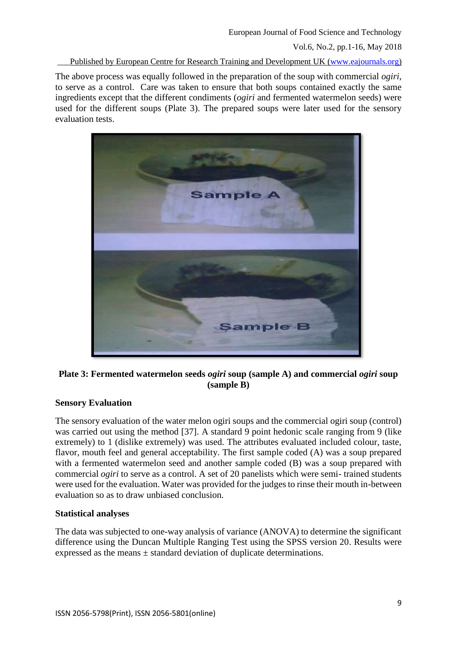Published by European Centre for Research Training and Development UK [\(www.eajournals.org\)](http://www.eajournals.org/)

The above process was equally followed in the preparation of the soup with commercial *ogiri*, to serve as a control. Care was taken to ensure that both soups contained exactly the same ingredients except that the different condiments (*ogiri* and fermented watermelon seeds) were used for the different soups (Plate 3). The prepared soups were later used for the sensory evaluation tests.



## **Plate 3: Fermented watermelon seeds** *ogiri* **soup (sample A) and commercial** *ogiri* **soup (sample B)**

#### **Sensory Evaluation**

The sensory evaluation of the water melon ogiri soups and the commercial ogiri soup (control) was carried out using the method [37]. A standard 9 point hedonic scale ranging from 9 (like extremely) to 1 (dislike extremely) was used. The attributes evaluated included colour, taste, flavor, mouth feel and general acceptability. The first sample coded (A) was a soup prepared with a fermented watermelon seed and another sample coded (B) was a soup prepared with commercial *ogiri* to serve as a control. A set of 20 panelists which were semi- trained students were used for the evaluation. Water was provided for the judges to rinse their mouth in-between evaluation so as to draw unbiased conclusion.

#### **Statistical analyses**

The data was subjected to one-way analysis of variance (ANOVA) to determine the significant difference using the Duncan Multiple Ranging Test using the SPSS version 20. Results were expressed as the means ± standard deviation of duplicate determinations.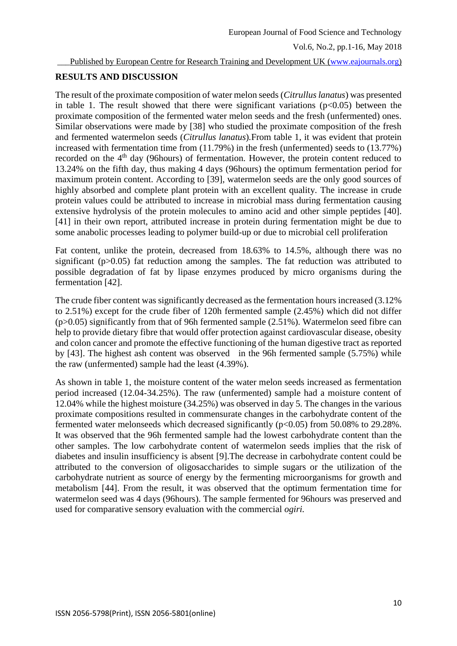Published by European Centre for Research Training and Development UK [\(www.eajournals.org\)](http://www.eajournals.org/)

### **RESULTS AND DISCUSSION**

The result of the proximate composition of water melon seeds (*Citrulluslanatus*) was presented in table 1. The result showed that there were significant variations  $(p<0.05)$  between the proximate composition of the fermented water melon seeds and the fresh (unfermented) ones. Similar observations were made by [38] who studied the proximate composition of the fresh and fermented watermelon seeds (*Citrullus lanatus*)*.*From table 1, it was evident that protein increased with fermentation time from (11.79%) in the fresh (unfermented) seeds to (13.77%) recorded on the 4<sup>th</sup> day (96hours) of fermentation. However, the protein content reduced to 13.24% on the fifth day, thus making 4 days (96hours) the optimum fermentation period for maximum protein content. According to [39], watermelon seeds are the only good sources of highly absorbed and complete plant protein with an excellent quality. The increase in crude protein values could be attributed to increase in microbial mass during fermentation causing extensive hydrolysis of the protein molecules to amino acid and other simple peptides [40]. [41] in their own report, attributed increase in protein during fermentation might be due to some anabolic processes leading to polymer build-up or due to microbial cell proliferation

Fat content, unlike the protein, decreased from 18.63% to 14.5%, although there was no significant (p>0.05) fat reduction among the samples. The fat reduction was attributed to possible degradation of fat by lipase enzymes produced by micro organisms during the fermentation [42].

The crude fiber content was significantly decreased as the fermentation hours increased (3.12% to 2.51%) except for the crude fiber of 120h fermented sample (2.45%) which did not differ (p>0.05) significantly from that of 96h fermented sample (2.51%). Watermelon seed fibre can help to provide dietary fibre that would offer protection against cardiovascular disease, obesity and colon cancer and promote the effective functioning of the human digestive tract as reported by [43]. The highest ash content was observed in the 96h fermented sample (5.75%) while the raw (unfermented) sample had the least (4.39%).

As shown in table 1, the moisture content of the water melon seeds increased as fermentation period increased (12.04-34.25%). The raw (unfermented) sample had a moisture content of 12.04% while the highest moisture (34.25%) was observed in day 5. The changes in the various proximate compositions resulted in commensurate changes in the carbohydrate content of the fermented water melonseeds which decreased significantly  $(p<0.05)$  from 50.08% to 29.28%. It was observed that the 96h fermented sample had the lowest carbohydrate content than the other samples. The low carbohydrate content of watermelon seeds implies that the risk of diabetes and insulin insufficiency is absent [9].The decrease in carbohydrate content could be attributed to the conversion of oligosaccharides to simple sugars or the utilization of the carbohydrate nutrient as source of energy by the fermenting microorganisms for growth and metabolism [44]. From the result, it was observed that the optimum fermentation time for watermelon seed was 4 days (96hours). The sample fermented for 96hours was preserved and used for comparative sensory evaluation with the commercial *ogiri.*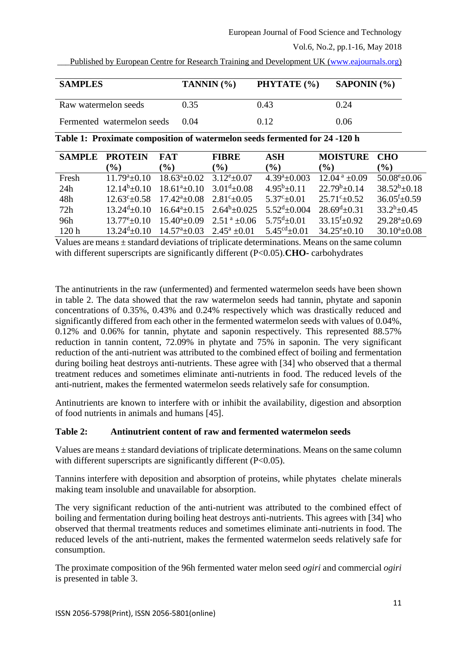| <b>SAMPLES</b>             | TANNIN $(%)$ | PHYTATE (%) | SAPONIN (%) |
|----------------------------|--------------|-------------|-------------|
| Raw watermelon seeds       | 0.35         | 0.43        | 0.24        |
| Fermented watermelon seeds | 0.04         | 0.12.       | 0.06        |

**Table 1: Proximate composition of watermelon seeds fermented for 24 -120 h**

| <b>SAMPLE</b>    | <b>PROTEIN</b>              | <b>FAT</b>                                         | <b>FIBRE</b>                          | ASH                          | <b>MOISTURE</b>               | <b>CHO</b>                    |
|------------------|-----------------------------|----------------------------------------------------|---------------------------------------|------------------------------|-------------------------------|-------------------------------|
|                  | $\mathcal{O}_0$             | $\mathcal{O}_0$                                    | $(\%)$                                | $\left( \frac{0}{0} \right)$ | $\left( \frac{0}{0} \right)$  | $\left( \frac{0}{0} \right)$  |
| Fresh            | $11.79^a \pm 0.10$          | $18.63^a \pm 0.02$                                 | $3.12^{\rm e}{\pm}0.07$               | $4.39^a \pm 0.003$           | $12.04^{\text{ a}}$ ±0.09     | $50.08^{\circ}$ ±0.06         |
| 24h              | $12.14^{b}+0.10$            | $18.61^a \pm 0.10$                                 | $3.01^{d} + 0.08$                     | $4.95^{\rm b} + 0.11$        | $22.79^b \pm 0.14$            | $38.52^b \pm 0.18$            |
| 48h              | $12.63^{\circ}$ ± 0.58      | $17.42^{\mathrm{a}}\pm0.08$                        | $2.81^{\circ}+0.05$                   | $5.37^{\circ}+0.01$          | $25.71^{\circ}+0.52$          | $36.05^{\mathrm{f}} \pm 0.59$ |
| 72h              | $13.24^{\mathrm{d}} + 0.10$ |                                                    | $16.64^a \pm 0.15$ $2.64^b \pm 0.025$ | $5.52^{\text{d}} + 0.004$    | $28.69^{\mathrm{d}} \pm 0.31$ | $33.2^{b}+0.45$               |
| 96h              | $13.77^{\rm e}{+0.10}$      | $15.40^{\circ}$ ± 0.09                             | $2.51^{\text{a}} + 0.06$              | $5.75^{d}+0.01$              | $33.15^{f}+0.92$              | $29.28^a \pm 0.69$            |
| 120 <sub>h</sub> | $13.24^{\mathrm{d}} + 0.10$ | $14.57^{\text{a}} + 0.03$ $2.45^{\text{a}} + 0.01$ |                                       | $5.45^{cd}+0.01$             | $34.25^{\rm e}{\pm}0.10$      | $30.10^a \pm 0.08$            |

Values are means  $\pm$  standard deviations of triplicate determinations. Means on the same column with different superscripts are significantly different (P<0.05).**CHO-** carbohydrates

The antinutrients in the raw (unfermented) and fermented watermelon seeds have been shown in table 2. The data showed that the raw watermelon seeds had tannin, phytate and saponin concentrations of 0.35%, 0.43% and 0.24% respectively which was drastically reduced and significantly differed from each other in the fermented watermelon seeds with values of 0.04%, 0.12% and 0.06% for tannin, phytate and saponin respectively. This represented 88.57% reduction in tannin content, 72.09% in phytate and 75% in saponin. The very significant reduction of the anti-nutrient was attributed to the combined effect of boiling and fermentation during boiling heat destroys anti-nutrients. These agree with [34] who observed that a thermal treatment reduces and sometimes eliminate anti-nutrients in food. The reduced levels of the anti-nutrient, makes the fermented watermelon seeds relatively safe for consumption.

Antinutrients are known to interfere with or inhibit the availability, digestion and absorption of food nutrients in animals and humans [45].

# **Table 2: Antinutrient content of raw and fermented watermelon seeds**

Values are means ± standard deviations of triplicate determinations. Means on the same column with different superscripts are significantly different (P<0.05).

Tannins interfere with deposition and absorption of proteins, while phytates chelate minerals making team insoluble and unavailable for absorption.

The very significant reduction of the anti-nutrient was attributed to the combined effect of boiling and fermentation during boiling heat destroys anti-nutrients. This agrees with [34] who observed that thermal treatments reduces and sometimes eliminate anti-nutrients in food. The reduced levels of the anti-nutrient, makes the fermented watermelon seeds relatively safe for consumption.

The proximate composition of the 96h fermented water melon seed *ogiri* and commercial *ogiri* is presented in table 3.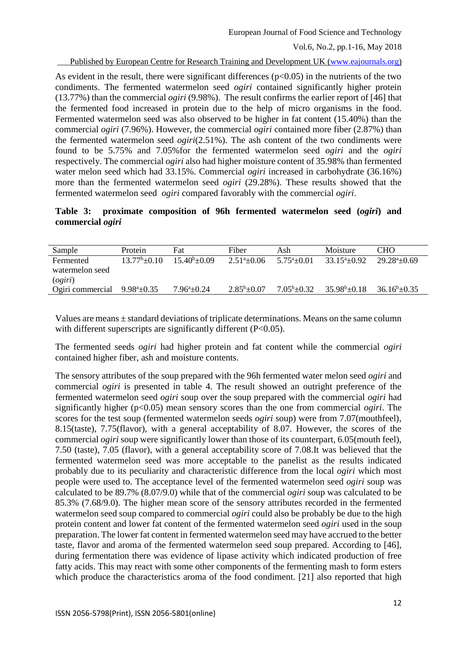Published by European Centre for Research Training and Development UK [\(www.eajournals.org\)](http://www.eajournals.org/)

As evident in the result, there were significant differences  $(p<0.05)$  in the nutrients of the two condiments. The fermented watermelon seed *ogiri* contained significantly higher protein (13.77%) than the commercial *ogiri* (9.98%). The result confirms the earlier report of [46] that the fermented food increased in protein due to the help of micro organisms in the food. Fermented watermelon seed was also observed to be higher in fat content (15.40%) than the commercial *ogiri* (7.96%). However, the commercial *ogiri* contained more fiber (2.87%) than the fermented watermelon seed *ogiri*(2.51%). The ash content of the two condiments were found to be 5.75% and 7.05%for the fermented watermelon seed *ogiri* and the *ogiri* respectively. The commercial *ogiri* also had higher moisture content of 35.98% than fermented water melon seed which had 33.15%. Commercial *ogiri* increased in carbohydrate (36.16%) more than the fermented watermelon seed *ogiri* (29.28%). These results showed that the fermented watermelon seed *ogiri* compared favorably with the commercial *ogiri*.

#### **Table 3: proximate composition of 96h fermented watermelon seed (***ogiri***) and commercial** *ogiri*

| Sample           | Protein                    | Fat                  | Fiber                 | Ash                   | Moisture           | <b>CHO</b>       |
|------------------|----------------------------|----------------------|-----------------------|-----------------------|--------------------|------------------|
| Fermented        | $13.77^{\rm b} + 0.10$     | $15.40^{\circ}+0.09$ | $2.51^{\circ}+0.06$   | $5.75^{\circ}+0.01$   | $33.15^{a}+0.92$   | $29.28^{a}+0.69$ |
| watermelon seed  |                            |                      |                       |                       |                    |                  |
| (ogiri)          |                            |                      |                       |                       |                    |                  |
| Ogiri commercial | $9.98^{\mathrm{a}}\pm0.35$ | $7.96^{\circ}$ ±0.24 | $2.85^{\rm b} + 0.07$ | $7.05^{\rm b} + 0.32$ | $35.98^b \pm 0.18$ | $36.16^b + 0.35$ |

Values are means ± standard deviations of triplicate determinations. Means on the same column with different superscripts are significantly different (P<0.05).

The fermented seeds *ogiri* had higher protein and fat content while the commercial *ogiri* contained higher fiber, ash and moisture contents.

The sensory attributes of the soup prepared with the 96h fermented water melon seed *ogiri* and commercial *ogiri* is presented in table 4. The result showed an outright preference of the fermented watermelon seed *ogiri* soup over the soup prepared with the commercial *ogiri* had significantly higher (p<0.05) mean sensory scores than the one from commercial *ogiri*. The scores for the test soup (fermented watermelon seeds *ogiri* soup) were from 7.07(mouthfeel), 8.15(taste), 7.75(flavor), with a general acceptability of 8.07. However, the scores of the commercial *ogiri* soup were significantly lower than those of its counterpart, 6.05(mouth feel), 7.50 (taste), 7.05 (flavor), with a general acceptability score of 7.08.It was believed that the fermented watermelon seed was more acceptable to the panelist as the results indicated probably due to its peculiarity and characteristic difference from the local *ogiri* which most people were used to. The acceptance level of the fermented watermelon seed *ogiri* soup was calculated to be 89.7% (8.07/9.0) while that of the commercial *ogiri* soup was calculated to be 85.3% (7.68/9.0). The higher mean score of the sensory attributes recorded in the fermented watermelon seed soup compared to commercial *ogiri* could also be probably be due to the high protein content and lower fat content of the fermented watermelon seed *ogiri* used in the soup preparation. The lower fat content in fermented watermelon seed may have accrued to the better taste, flavor and aroma of the fermented watermelon seed soup prepared. According to [46], during fermentation there was evidence of lipase activity which indicated production of free fatty acids. This may react with some other components of the fermenting mash to form esters which produce the characteristics aroma of the food condiment. [21] also reported that high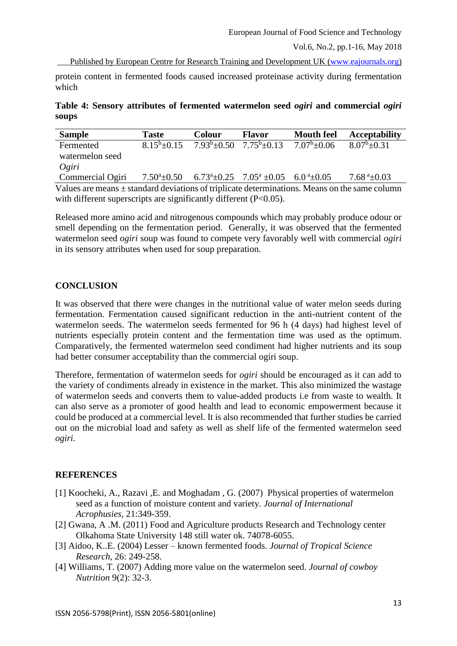protein content in fermented foods caused increased proteinase activity during fermentation which

**Table 4: Sensory attributes of fermented watermelon seed** *ogiri* **and commercial** *ogiri* **soups**

| <b>Sample</b>                                                                                     | <b>Taste</b>      | <b>Colour</b> | <b>Flavor</b>                                                                                  | <b>Mouth feel</b> | <b>Acceptability</b>      |
|---------------------------------------------------------------------------------------------------|-------------------|---------------|------------------------------------------------------------------------------------------------|-------------------|---------------------------|
| Fermented                                                                                         | $8.15^b \pm 0.15$ |               | $7.93^b \pm 0.50$ $7.75^b \pm 0.13$                                                            | $7.07^b \pm 0.06$ | $8.07^b \pm 0.31$         |
| watermelon seed                                                                                   |                   |               |                                                                                                |                   |                           |
| Ogiri                                                                                             |                   |               |                                                                                                |                   |                           |
| Commercial Ogiri                                                                                  |                   |               | 7.50 <sup>a</sup> ±0.50 6.73 <sup>a</sup> ±0.25 7.05 <sup>a</sup> ±0.05 6.0 <sup>a</sup> ±0.05 |                   | $7.68^{\text{ a}}\pm0.03$ |
| Values are means $\pm$ standard deviations of triplicate determinations. Means on the same column |                   |               |                                                                                                |                   |                           |

with different superscripts are significantly different (P<0.05).

Released more amino acid and nitrogenous compounds which may probably produce odour or smell depending on the fermentation period. Generally, it was observed that the fermented watermelon seed *ogiri* soup was found to compete very favorably well with commercial *ogiri* in its sensory attributes when used for soup preparation.

#### **CONCLUSION**

It was observed that there were changes in the nutritional value of water melon seeds during fermentation. Fermentation caused significant reduction in the anti-nutrient content of the watermelon seeds. The watermelon seeds fermented for 96 h (4 days) had highest level of nutrients especially protein content and the fermentation time was used as the optimum. Comparatively, the fermented watermelon seed condiment had higher nutrients and its soup had better consumer acceptability than the commercial ogiri soup.

Therefore, fermentation of watermelon seeds for *ogiri* should be encouraged as it can add to the variety of condiments already in existence in the market. This also minimized the wastage of watermelon seeds and converts them to value-added products i.e from waste to wealth. It can also serve as a promoter of good health and lead to economic empowerment because it could be produced at a commercial level. It is also recommended that further studies be carried out on the microbial load and safety as well as shelf life of the fermented watermelon seed *ogiri.*

#### **REFERENCES**

- [1] Koocheki, A., Razavi ,E. and Moghadam , G. (2007) Physical properties of watermelon seed as a function of moisture content and variety. *Journal of International Acrophusies,* 21:349-359.
- [2] Gwana, A .M. (2011) Food and Agriculture products Research and Technology center Olkahoma State University 148 still water ok. 74078-6055.
- [3] Aidoo, K..E. (2004) Lesser known fermented foods. *Journal of Tropical Science Research*, 26: 249-258.
- [4] Williams, T. (2007) Adding more value on the watermelon seed. *Journal of cowboy Nutrition* 9(2): 32-3.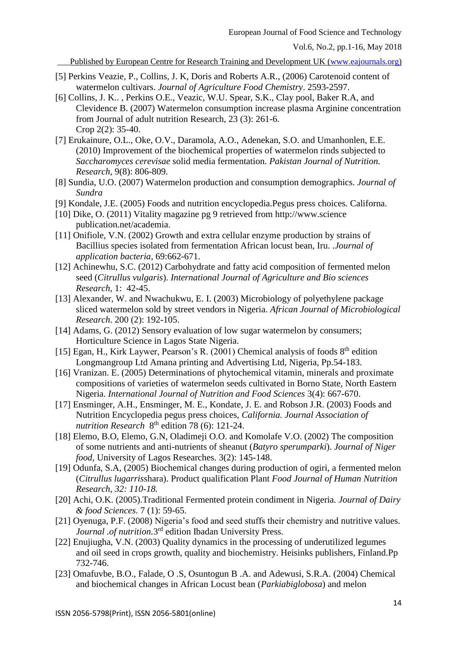- [5] Perkins Veazie, P., Collins, J. K, Doris and Roberts A.R., (2006) Carotenoid content of watermelon cultivars. *Journal of Agriculture Food Chemistry*. 2593-2597.
- [6] Collins, J. K.. , Perkins O.E., Veazic, W.U. Spear, S.K., Clay pool, Baker R.A, and Clevidence B. (2007) Watermelon consumption increase plasma Arginine concentration from Journal of adult nutrition Research, 23 (3): 261-6. Crop 2(2): 35-40.
- [7] Erukainure, O.L., Oke, O.V., Daramola, A.O., Adenekan, S.O. and Umanhonlen, E.E. (2010) Improvement of the biochemical properties of watermelon rinds subjected to *Saccharomyces cerevisae* solid media fermentation. *Pakistan Journal of Nutrition. Research,* 9(8): 806-809.
- [8] Sundia, U.O. (2007) Watermelon production and consumption demographics*. Journal of Sundra*
- [9] Kondale, J.E. (2005) Foods and nutrition encyclopedia.Pegus press choices. Californa.
- [10] Dike, O. (2011) Vitality magazine pg 9 retrieved from http://www.science publication.net/academia.
- [11] Onifiole, V.N. (2002) Growth and extra cellular enzyme production by strains of Bacillius species isolated from fermentation African locust bean, Iru. *.Journal of application bacteria*, 69:662-671.
- [12] Achinewhu, S.C. (2012) Carbohydrate and fatty acid composition of fermented melon seed (*Citrullus vulgaris*). *International Journal of Agriculture and Bio sciences Research*, 1: 42-45.
- [13] Alexander, W. and Nwachukwu, E. I. (2003) Microbiology of polyethylene package sliced watermelon sold by street vendors in Nigeria. *African Journal of Microbiological Research*. 200 (2): 192-105.
- [14] Adams, G. (2012) Sensory evaluation of low sugar watermelon by consumers; Horticulture Science in Lagos State Nigeria.
- [15] Egan, H., Kirk Laywer, Pearson's R. (2001) Chemical analysis of foods  $8<sup>th</sup>$  edition Longmangroup Ltd Amana printing and Advertising Ltd, Nigeria, Pp.54-183.
- [16] Vranizan. E. (2005) Determinations of phytochemical vitamin, minerals and proximate compositions of varieties of watermelon seeds cultivated in Borno State, North Eastern Nigeria. *International Journal of Nutrition and Food Sciences* 3(4): 667-670.
- [17] Ensminger, A.H., Ensminger, M. E., Kondate, J. E. and Robson J.R. (2003) Foods and Nutrition Encyclopedia pegus press choices, *California. Journal Association of*  nutrition Research 8<sup>th</sup> edition 78 (6): 121-24.
- [18] Elemo, B.O, Elemo, G.N, Oladimeji O.O. and Komolafe V.O. (2002) The composition of some nutrients and anti-nutrients of sheanut (*Batyro sperumparki*). *Journal of Niger food,* University of Lagos Researches. 3(2): 145-148.
- [19] Odunfa, S.A, (2005) Biochemical changes during production of ogiri, a fermented melon (*Citrullus lugarris*shara). Product qualification Plant *Food Journal of Human Nutrition Research, 32: 110-18.*
- [20] Achi, O.K. (2005).Traditional Fermented protein condiment in Nigeria*. Journal of Dairy & food Sciences*. 7 (1): 59-65.
- [21] Oyenuga, P.F. (2008) Nigeria's food and seed stuffs their chemistry and nutritive values. Journal .of nutrition.<sup>3rd</sup> edition Ibadan University Press.
- [22] Enujiugha, V.N. (2003) Quality dynamics in the processing of underutilized legumes and oil seed in crops growth, quality and biochemistry. Heisinks publishers, Finland.Pp 732-746.
- [23] Omafuvbe, B.O., Falade, O .S, Osuntogun B .A. and Adewusi, S.R.A. (2004) Chemical and biochemical changes in African Locust bean (*Parkiabiglobosa*) and melon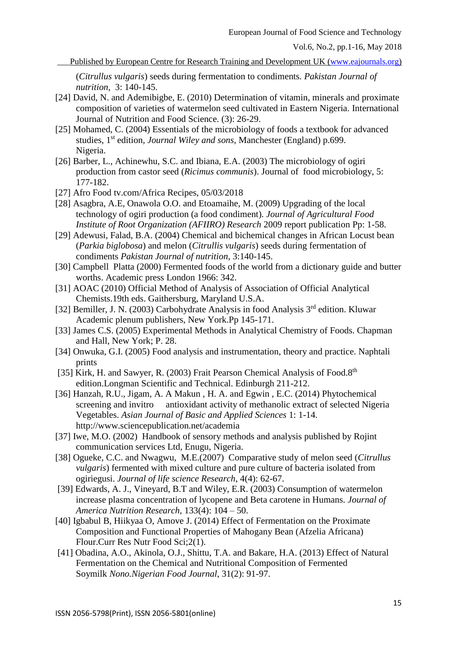\_\_\_Published by European Centre for Research Training and Development UK [\(www.eajournals.org\)](http://www.eajournals.org/)

(*Citrullus vulgaris*) seeds during fermentation to condiments*. Pakistan Journal of nutrition,* 3: 140-145.

- [24] David, N. and Ademibigbe, E. (2010) Determination of vitamin, minerals and proximate composition of varieties of watermelon seed cultivated in Eastern Nigeria. International Journal of Nutrition and Food Science. (3): 26-29.
- [25] Mohamed, C. (2004) Essentials of the microbiology of foods a textbook for advanced studies, 1<sup>st</sup> edition, *Journal Wiley and sons*, Manchester (England) p.699. Nigeria.
- [26] Barber, L., Achinewhu, S.C. and Ibiana, E.A. (2003) The microbiology of ogiri production from castor seed (*Ricimus communis*). Journal of food microbiology, 5: 177-182.
- [27] Afro Food tv.com/Africa Recipes, 05/03/2018
- [28] Asagbra, A.E, Onawola O.O. and Etoamaihe, M. (2009) Upgrading of the local technology of ogiri production (a food condiment)*. Journal of Agricultural Food Institute of Root Organization (AFIIRO) Research* 2009 report publication Pp: 1-58.
- [29] Adewusi, Falad, B.A. (2004) Chemical and bichemical changes in African Locust bean (*Parkia biglobosa*) and melon (*Citrullis vulgaris*) seeds during fermentation of condiments *Pakistan Journal of nutrition*, 3:140-145.
- [30] Campbell Platta (2000) Fermented foods of the world from a dictionary guide and butter worths. Academic press London 1966: 342.
- [31] AOAC (2010) Official Method of Analysis of Association of Official Analytical Chemists.19th eds. Gaithersburg, Maryland U.S.A.
- [32] Bemiller, J. N. (2003) Carbohydrate Analysis in food Analysis 3<sup>rd</sup> edition. Kluwar Academic plenum publishers, New York.Pp 145-171.
- [33] James C.S. (2005) Experimental Methods in Analytical Chemistry of Foods. Chapman and Hall, New York; P. 28.
- [34] Onwuka, G.I. (2005) Food analysis and instrumentation, theory and practice. Naphtali prints
- [35] Kirk, H. and Sawyer, R. (2003) Frait Pearson Chemical Analysis of Food.8<sup>th</sup> edition.Longman Scientific and Technical. Edinburgh 211-212.
- [36] Hanzah, R.U., Jigam, A. A Makun , H. A. and Egwin , E.C. (2014) Phytochemical screening and invitro antioxidant activity of methanolic extract of selected Nigeria Vegetables. *Asian Journal of Basic and Applied Sciences* 1: 1-14. http://www.sciencepublication.net/academia
- [37] Iwe, M.O. (2002) Handbook of sensory methods and analysis published by Rojint communication services Ltd, Enugu, Nigeria.
- [38] Ogueke, C.C. and Nwagwu, M.E.(2007) Comparative study of melon seed (*Citrullus vulgaris*) fermented with mixed culture and pure culture of bacteria isolated from ogiriegusi. *Journal of life science Research*, 4(4): 62-67.
- [39] Edwards, A. J., Vineyard, B.T and Wiley, E.R. (2003) Consumption of watermelon increase plasma concentration of lycopene and Beta carotene in Humans*. Journal of America Nutrition Research*, 133(4): 104 – 50.
- [40] Igbabul B, Hiikyaa O, Amove J. (2014) Effect of Fermentation on the Proximate Composition and Functional Properties of Mahogany Bean (Afzelia Africana) Flour.Curr Res Nutr Food Sci;2(1).
- [41] Obadina, A.O., Akinola, O.J., Shittu, T.A. and Bakare, H.A. (2013) Effect of Natural Fermentation on the Chemical and Nutritional Composition of Fermented Soymilk *Nono.Nigerian Food Journal*, 31(2): 91-97.